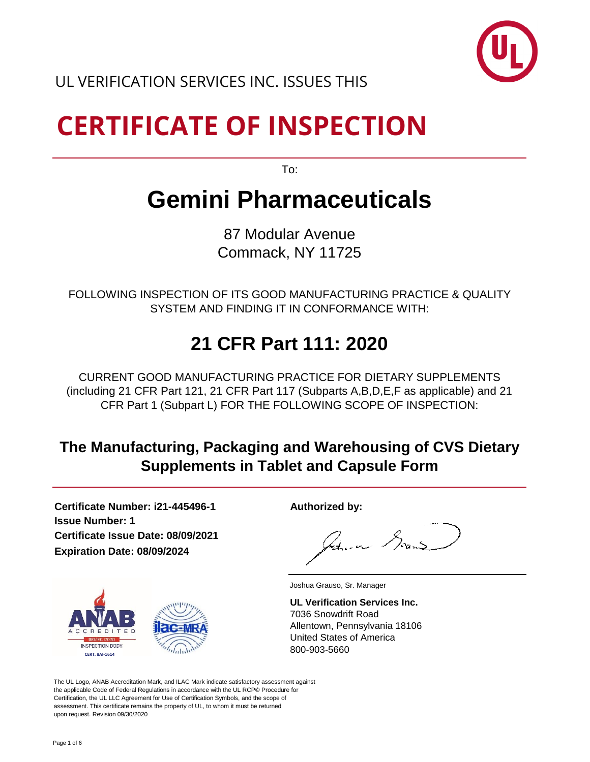

# **CERTIFICATE OF INSPECTION**

To:

### **Gemini Pharmaceuticals**

87 Modular Avenue Commack, NY 11725

FOLLOWING INSPECTION OF ITS GOOD MANUFACTURING PRACTICE & QUALITY SYSTEM AND FINDING IT IN CONFORMANCE WITH:

### **21 CFR Part 111: 2020**

CURRENT GOOD MANUFACTURING PRACTICE FOR DIETARY SUPPLEMENTS (including 21 CFR Part 121, 21 CFR Part 117 (Subparts A,B,D,E,F as applicable) and 21 CFR Part 1 (Subpart L) FOR THE FOLLOWING SCOPE OF INSPECTION:

#### **The Manufacturing, Packaging and Warehousing of CVS Dietary Supplements in Tablet and Capsule Form**

**Certificate Number: i21-445496-1 Authorized by: Issue Number: 1 Certificate Issue Date: 08/09/2021 Expiration Date: 08/09/2024**

Patricia Sound



**UL Verification Services Inc.** 7036 Snowdrift Road Allentown, Pennsylvania 18106 United States of America

The UL Logo, ANAB Accreditation Mark, and ILAC Mark indicate satisfactory assessment against the applicable Code of Federal Regulations in accordance with the UL RCP© Procedure for Certification, the UL LLC Agreement for Use of Certification Symbols, and the scope of assessment. This certificate remains the property of UL, to whom it must be returned upon request. Revision 09/30/2020

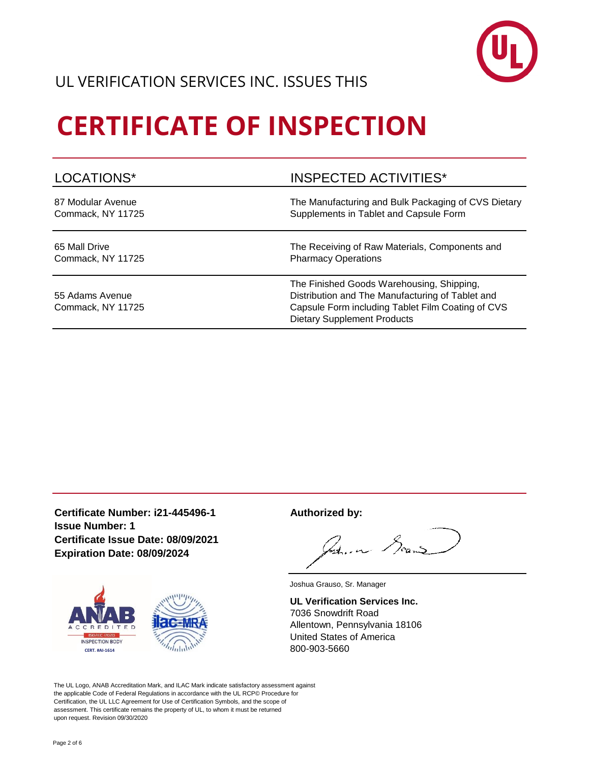

#### UL VERIFICATION SERVICES INC. ISSUES THIS

# **CERTIFICATE OF INSPECTION**

| LOCATIONS*                           | <b>INSPECTED ACTIVITIES*</b>                                                                                                                                                             |
|--------------------------------------|------------------------------------------------------------------------------------------------------------------------------------------------------------------------------------------|
| 87 Modular Avenue                    | The Manufacturing and Bulk Packaging of CVS Dietary                                                                                                                                      |
| Commack, NY 11725                    | Supplements in Tablet and Capsule Form                                                                                                                                                   |
| 65 Mall Drive                        | The Receiving of Raw Materials, Components and                                                                                                                                           |
| Commack, NY 11725                    | <b>Pharmacy Operations</b>                                                                                                                                                               |
| 55 Adams Avenue<br>Commack, NY 11725 | The Finished Goods Warehousing, Shipping,<br>Distribution and The Manufacturing of Tablet and<br>Capsule Form including Tablet Film Coating of CVS<br><b>Dietary Supplement Products</b> |

**Certificate Number: i21-445496-1 Authorized by: Issue Number: 1 Certificate Issue Date: 08/09/2021 Expiration Date: 08/09/2024**



Soun $\mathcal S$ والمساهد المكا

Joshua Grauso, Sr. Manager

**UL Verification Services Inc.** 7036 Snowdrift Road Allentown, Pennsylvania 18106 United States of America

The UL Logo, ANAB Accreditation Mark, and ILAC Mark indicate satisfactory assessment against the applicable Code of Federal Regulations in accordance with the UL RCP© Procedure for Certification, the UL LLC Agreement for Use of Certification Symbols, and the scope of assessment. This certificate remains the property of UL, to whom it must be returned upon request. Revision 09/30/2020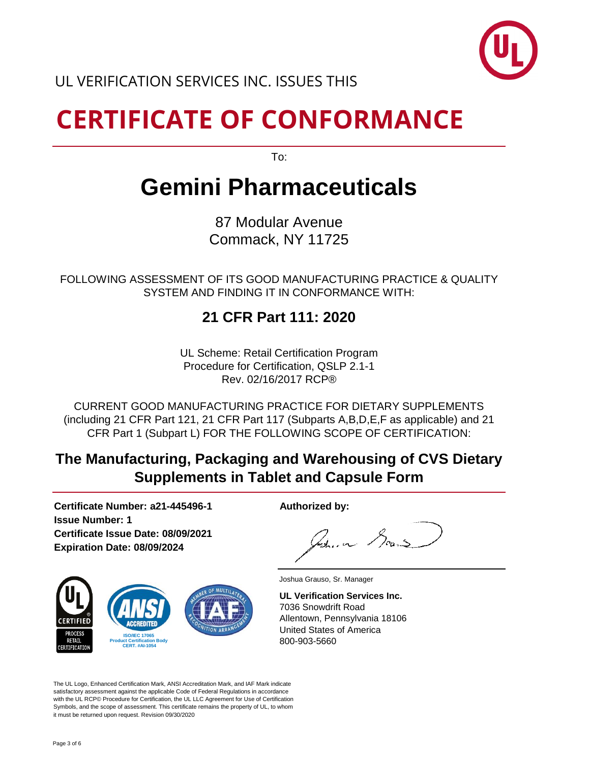

UL VERIFICATION SERVICES INC. ISSUES THIS

## **CERTIFICATE OF CONFORMANCE**

To:

### **Gemini Pharmaceuticals**

87 Modular Avenue Commack, NY 11725

FOLLOWING ASSESSMENT OF ITS GOOD MANUFACTURING PRACTICE & QUALITY SYSTEM AND FINDING IT IN CONFORMANCE WITH:

#### **21 CFR Part 111: 2020**

UL Scheme: Retail Certification Program Procedure for Certification, QSLP 2.1-1 Rev. 02/16/2017 RCP®

CURRENT GOOD MANUFACTURING PRACTICE FOR DIETARY SUPPLEMENTS (including 21 CFR Part 121, 21 CFR Part 117 (Subparts A,B,D,E,F as applicable) and 21 CFR Part 1 (Subpart L) FOR THE FOLLOWING SCOPE OF CERTIFICATION:

#### **The Manufacturing, Packaging and Warehousing of CVS Dietary Supplements in Tablet and Capsule Form**

**Certificate Number: a21-445496-1 Authorized by: Issue Number: 1 Certificate Issue Date: 08/09/2021 Expiration Date: 08/09/2024**



Sour سەر كەك

**UL Verification Services Inc.** 7036 Snowdrift Road Allentown, Pennsylvania 18106 United States of America 800-903-5660

The UL Logo, Enhanced Certification Mark, ANSI Accreditation Mark, and IAF Mark indicate satisfactory assessment against the applicable Code of Federal Regulations in accordance with the UL RCP© Procedure for Certification, the UL LLC Agreement for Use of Certification Symbols, and the scope of assessment. This certificate remains the property of UL, to whom it must be returned upon request. Revision 09/30/2020

Joshua Grauso, Sr. Manager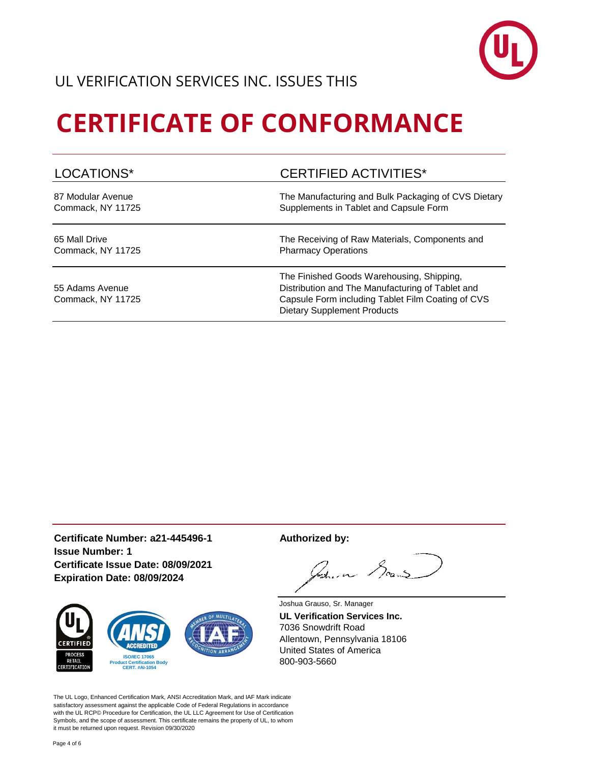

## **CERTIFICATE OF CONFORMANCE**

| LOCATIONS*                           | <b>CERTIFIED ACTIVITIES*</b>                                                                                                                                                             |
|--------------------------------------|------------------------------------------------------------------------------------------------------------------------------------------------------------------------------------------|
| 87 Modular Avenue                    | The Manufacturing and Bulk Packaging of CVS Dietary                                                                                                                                      |
| Commack, NY 11725                    | Supplements in Tablet and Capsule Form                                                                                                                                                   |
| 65 Mall Drive                        | The Receiving of Raw Materials, Components and                                                                                                                                           |
| Commack, NY 11725                    | <b>Pharmacy Operations</b>                                                                                                                                                               |
| 55 Adams Avenue<br>Commack, NY 11725 | The Finished Goods Warehousing, Shipping,<br>Distribution and The Manufacturing of Tablet and<br>Capsule Form including Tablet Film Coating of CVS<br><b>Dietary Supplement Products</b> |

**Certificate Number: a21-445496-1 Authorized by: Issue Number: 1 Certificate Issue Date: 08/09/2021 Expiration Date: 08/09/2024**



Soun\$ between

Joshua Grauso, Sr. Manager **UL Verification Services Inc.** 7036 Snowdrift Road Allentown, Pennsylvania 18106 United States of America

The UL Logo, Enhanced Certification Mark, ANSI Accreditation Mark, and IAF Mark indicate satisfactory assessment against the applicable Code of Federal Regulations in accordance with the UL RCP© Procedure for Certification, the UL LLC Agreement for Use of Certification Symbols, and the scope of assessment. This certificate remains the property of UL, to whom it must be returned upon request. Revision 09/30/2020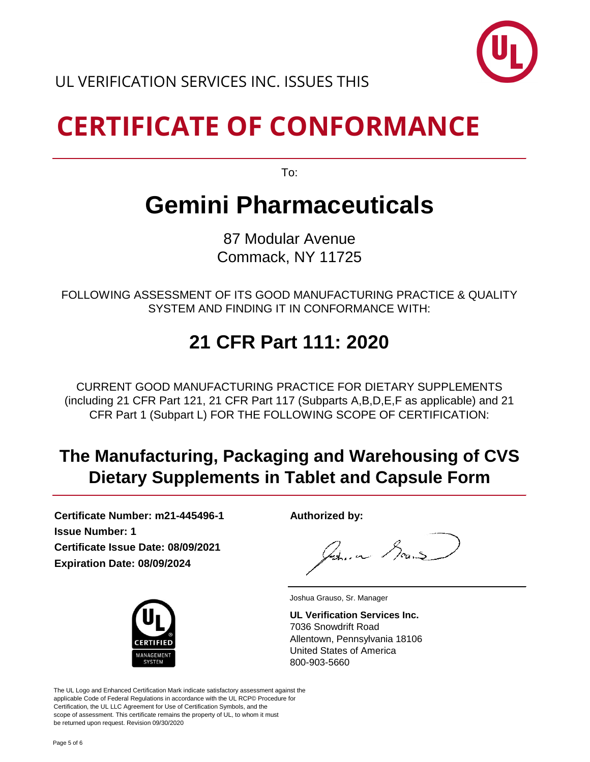

# **CERTIFICATE OF CONFORMANCE**

To:

### **Gemini Pharmaceuticals**

87 Modular Avenue Commack, NY 11725

FOLLOWING ASSESSMENT OF ITS GOOD MANUFACTURING PRACTICE & QUALITY SYSTEM AND FINDING IT IN CONFORMANCE WITH:

### **21 CFR Part 111: 2020**

CURRENT GOOD MANUFACTURING PRACTICE FOR DIETARY SUPPLEMENTS (including 21 CFR Part 121, 21 CFR Part 117 (Subparts A,B,D,E,F as applicable) and 21 CFR Part 1 (Subpart L) FOR THE FOLLOWING SCOPE OF CERTIFICATION:

#### **The Manufacturing, Packaging and Warehousing of CVS Dietary Supplements in Tablet and Capsule Form**

**Certificate Number: m21-445496-1 Authorized by: Issue Number: 1 Certificate Issue Date: 08/09/2021 Expiration Date: 08/09/2024**



Zun Soans

Joshua Grauso, Sr. Manager

**UL Verification Services Inc.** 7036 Snowdrift Road Allentown, Pennsylvania 18106 United States of America 800-903-5660

The UL Logo and Enhanced Certification Mark indicate satisfactory assessment against the applicable Code of Federal Regulations in accordance with the UL RCP© Procedure for Certification, the UL LLC Agreement for Use of Certification Symbols, and the scope of assessment. This certificate remains the property of UL, to whom it must be returned upon request. Revision 09/30/2020